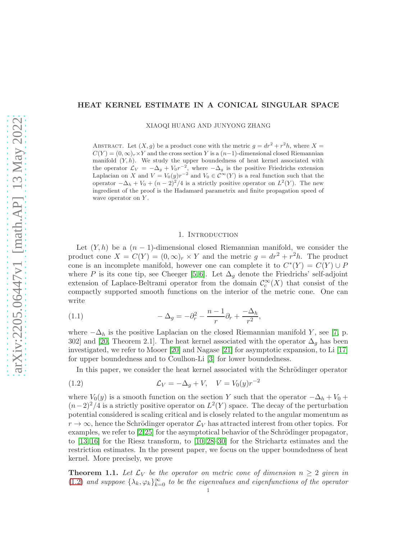# <span id="page-0-1"></span>HEAT KERNEL ESTIMATE IN A CONICAL SINGULAR SPACE

XIAOQI HUANG AND JUNYONG ZHANG

ABSTRACT. Let  $(X, g)$  be a product cone with the metric  $g = dr^2 + r^2 h$ , where  $X =$  $C(Y) = (0, \infty)_r \times Y$  and the cross section Y is a  $(n-1)$ -dimensional closed Riemannian manifold  $(Y, h)$ . We study the upper boundedness of heat kernel associated with the operator  $\mathcal{L}_V = -\Delta_g + V_0 r^{-2}$ , where  $-\Delta_g$  is the positive Friedrichs extension Laplacian on X and  $V = V_0(y)r^{-2}$  and  $V_0 \in C^{\infty}(Y)$  is a real function such that the operator  $-\Delta_h + V_0 + (n-2)^2/4$  is a strictly positive operator on  $L^2(Y)$ . The new ingredient of the proof is the Hadamard parametrix and finite propagation speed of wave operator on  $Y$ .

### 1. INTRODUCTION

Let  $(Y, h)$  be a  $(n - 1)$ -dimensional closed Riemannian manifold, we consider the product cone  $X = C(Y) = (0, \infty)_r \times Y$  and the metric  $g = dr^2 + r^2 h$ . The product cone is an incomplete manifold, however one can complete it to  $C^*(Y) = C(Y) \cup P$ where P is its cone tip, see Cheeger [\[5,](#page-15-0)6]. Let  $\Delta_g$  denote the Friedrichs' self-adjoint extension of Laplace-Beltrami operator from the domain  $\mathcal{C}^{\infty}_c(X)$  that consist of the compactly supported smooth functions on the interior of the metric cone. One can write

(1.1) 
$$
-\Delta_g = -\partial_r^2 - \frac{n-1}{r}\partial_r + \frac{-\Delta_h}{r^2},
$$

where  $-\Delta_h$  is the positive Laplacian on the closed Riemannian manifold Y, see [\[7,](#page-15-2) p. 302] and [\[20,](#page-16-0) Theorem 2.1]. The heat kernel associated with the operator  $\Delta_g$  has been investigated, we refer to Mooer [\[20\]](#page-16-0) and Nagase [\[21\]](#page-16-1) for asymptotic expansion, to Li [\[17\]](#page-15-3) for upper boundedness and to Coulhon-Li [\[3\]](#page-15-4) for lower boundedness.

<span id="page-0-0"></span>In this paper, we consider the heat kernel associated with the Schrödinger operator

(1.2) 
$$
\mathcal{L}_V = -\Delta_g + V, \quad V = V_0(y)r^{-2}
$$

where  $V_0(y)$  is a smooth function on the section Y such that the operator  $-\Delta_h + V_0 +$  $(n-2)^2/4$  is a strictly positive operator on  $L^2(Y)$  space. The decay of the perturbation potential considered is scaling critical and is closely related to the angular momentum as  $r \to \infty$ , hence the Schrödinger operator  $\mathcal{L}_V$  has attracted interest from other topics. For examples, we refer to  $[2,25]$  $[2,25]$  for the asymptotical behavior of the Schrödinger propagator, to [\[13,](#page-15-6) [16\]](#page-15-7) for the Riesz transform, to [\[10,](#page-15-8) [28](#page-16-3)[–30\]](#page-16-4) for the Strichartz estimates and the restriction estimates. In the present paper, we focus on the upper boundedness of heat kernel. More precisely, we prove

**Theorem 1.1.** Let  $\mathcal{L}_V$  be the operator on metric cone of dimension  $n \geq 2$  given in [\(1.2\)](#page-0-0) and suppose  $\{\lambda_k, \varphi_k\}_{k=0}^{\infty}$  to be the eigenvalues and eigenfunctions of the operator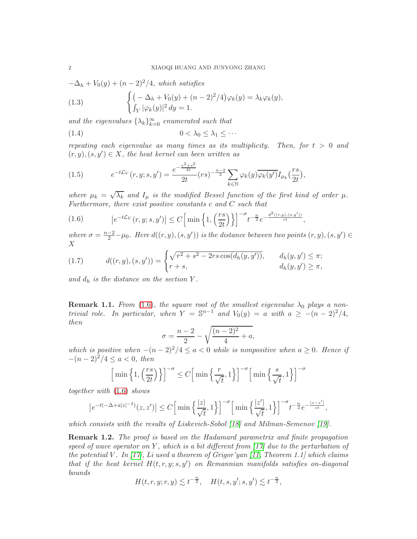<span id="page-1-3"></span> $-\Delta_h + V_0(y) + (n-2)^2/4$ , which satisfies

(1.3) 
$$
\begin{cases} \left(-\Delta_h + V_0(y) + (n-2)^2/4\right)\varphi_k(y) = \lambda_k \varphi_k(y), \\ \int_Y |\varphi_k(y)|^2 dy = 1. \end{cases}
$$

and the eigenvalues  $\{\lambda_k\}_{k=0}^{\infty}$  enumerated such that

$$
(1.4) \t\t\t 0 < \lambda_0 \leq \lambda_1 \leq \cdots
$$

repeating each eigenvalue as many times as its multiplicity. Then, for  $t > 0$  and  $(r, y), (s, y') \in X$ , the heat kernel can been written as

<span id="page-1-1"></span>(1.5) 
$$
e^{-t\mathcal{L}_V}(r, y; s, y') = \frac{e^{-\frac{r^2+s^2}{4t}}}{2t}(rs)^{-\frac{n-2}{2}} \sum_{k \in \mathbb{N}} \varphi_k(y) \overline{\varphi_k(y')} I_{\mu_k}(\frac{rs}{2t}),
$$

where  $\mu_k = \sqrt{\lambda_k}$  and  $I_\mu$  is the modified Bessel function of the first kind of order  $\mu$ . Furthermore, there exist positive constants  $c$  and  $C$  such that

<span id="page-1-0"></span>
$$
(1.6) \qquad \qquad \left| e^{-t\mathcal{L}_V}(r,y;s,y') \right| \le C \Big[ \min\left\{ 1, \left( \frac{rs}{2t} \right) \right\} \Big]^{-\sigma} t^{-\frac{n}{2}} e^{-\frac{d^2((r,y),(s,y'))}{ct}},
$$

where  $\sigma = \frac{n-2}{2} - \mu_0$ . Here  $d((r, y), (s, y'))$  is the distance between two points  $(r, y), (s, y') \in$ X

<span id="page-1-2"></span>(1.7) 
$$
d((r, y), (s, y')) = \begin{cases} \sqrt{r^2 + s^2 - 2rs \cos(d_h(y, y'))}, & d_h(y, y') \leq \pi; \\ r + s, & d_h(y, y') \geq \pi, \end{cases}
$$

and  $d_h$  is the distance on the section Y.

**Remark 1.1.** From [\(1.6\)](#page-1-0), the square root of the smallest eigenvalue  $\lambda_0$  plays a nontrivial role. In particular, when  $Y = \mathbb{S}^{n-1}$  and  $V_0(y) = a$  with  $a \ge -(n-2)^2/4$ , then

$$
\sigma = \frac{n-2}{2} - \sqrt{\frac{(n-2)^2}{4} + a},
$$

which is positive when  $-(n-2)^2/4 \le a < 0$  while is nonpositive when  $a \ge 0$ . Hence if  $-(n-2)^{2}/4 \leq a < 0$ , then

$$
\left[\min\left\{1,\left(\frac{rs}{2t}\right)\right\}\right]^{-\sigma} \le C\left[\min\left\{\frac{r}{\sqrt{t}},1\right\}\right]^{-\sigma} \left[\min\left\{\frac{s}{\sqrt{t}},1\right\}\right]^{-\sigma}
$$

together with [\(1.6\)](#page-1-0) shows

$$
\left|e^{-t(-\Delta+a|z|^{-2})}(z,z')\right| \le C\Big[\min\Big\{\frac{|z|}{\sqrt{t}},1\Big\}\Big]^{-\sigma}\Big[\min\Big\{\frac{|z'|}{\sqrt{t}},1\Big\}\Big]^{-\sigma}t^{-\frac{n}{2}}e^{-\frac{|z-z'|}{ct}},
$$

which consists with the results of Liskevich-Sobol [\[18\]](#page-15-9) and Milman-Semenov [\[19\]](#page-15-10).

**Remark 1.2.** The proof is based on the Hadamard parametrix and finite propagation speed of wave operator on Y, which is a bit different from  $\left[17\right]$  due to the perturbation of the potential V. In  $\left[17\right]$ , Li used a theorem of Grigor'yan  $\left[11,$  Theorem 1.1] which claims that if the heat kernel  $H(t,r,y;s,y')$  on Remannian manifolds satisfies on-diagonal bounds

$$
H(t,r,y;r,y) \lesssim t^{-\frac{n}{2}}, \quad H(t,s,y';s,y') \lesssim t^{-\frac{n}{2}},
$$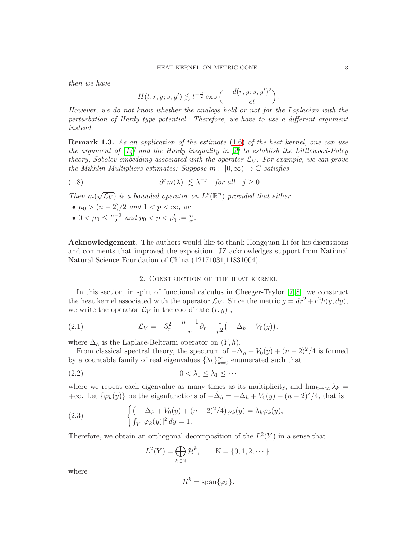<span id="page-2-0"></span>then we have

$$
H(t,r,y;s,y')\lesssim t^{-\frac{n}{2}}\exp\Big(-\frac{d(r,y;s,y')^2}{ct}\Big).
$$

However, we do not know whether the analogs hold or not for the Laplacian with the perturbation of Hardy type potential. Therefore, we have to use a different argument instead.

Remark 1.3. As an application of the estimate [\(1.6\)](#page-1-0) of the heat kernel, one can use the argument of  $\lceil 14 \rceil$  and the Hardy inequality in  $\lceil 2 \rceil$  to establish the Littlewood-Paley theory, Sobolev embedding associated with the operator  $\mathcal{L}_V$ . For example, we can prove the Mikhlin Multipliers estimates: Suppose  $m: [0,\infty) \to \mathbb{C}$  satisfies

(1.8) 
$$
|\partial^j m(\lambda)| \lesssim \lambda^{-j} \quad \text{for all} \quad j \ge 0
$$

Then  $m(\sqrt{\mathcal{L}_V})$  is a bounded operator on  $L^p(\mathbb{R}^n)$  provided that either

- $\mu_0 > (n-2)/2$  and  $1 < p < \infty$ , or
- $0 < \mu_0 \leq \frac{n-2}{2}$  and  $p_0 < p < p'_0 := \frac{n}{\sigma}$ .

Acknowledgement. The authors would like to thank Hongquan Li for his discussions and comments that improved the exposition. JZ acknowledges support from National Natural Science Foundation of China (12171031,11831004).

# 2. Construction of the heat kernel

In this section, in spirt of functional calculus in Cheeger-Taylor [\[7,](#page-15-2) [8\]](#page-15-13), we construct the heat kernel associated with the operator  $\mathcal{L}_V$ . Since the metric  $g = dr^2 + r^2 h(y, dy)$ , we write the operator  $\mathcal{L}_V$  in the coordinate  $(r, y)$ ,

(2.1) 
$$
\mathcal{L}_V = -\partial_r^2 - \frac{n-1}{r} \partial_r + \frac{1}{r^2} \big( -\Delta_h + V_0(y) \big).
$$

where  $\Delta_h$  is the Laplace-Beltrami operator on  $(Y, h)$ .

From classical spectral theory, the spectrum of  $-\Delta_h + V_0(y) + (n-2)^2/4$  is formed by a countable family of real eigenvalues  $\{\lambda_k\}_{k=0}^\infty$  enumerated such that

$$
(2.2) \t\t 0 < \lambda_0 \leq \lambda_1 \leq \cdots
$$

where we repeat each eigenvalue as many times as its multiplicity, and  $\lim_{k\to\infty}\lambda_k =$ +∞. Let  $\{\varphi_k(y)\}\$ be the eigenfunctions of  $-\tilde{\Delta}_h = -\Delta_h + V_0(y) + (n-2)^2/4$ , that is

(2.3) 
$$
\begin{cases} \left(-\Delta_h + V_0(y) + (n-2)^2/4\right)\varphi_k(y) = \lambda_k \varphi_k(y),\\ \int_Y |\varphi_k(y)|^2 dy = 1. \end{cases}
$$

Therefore, we obtain an orthogonal decomposition of the  $L^2(Y)$  in a sense that

$$
L^{2}(Y) = \bigoplus_{k \in \mathbb{N}} \mathcal{H}^{k}, \qquad \mathbb{N} = \{0, 1, 2, \cdots\}.
$$

where

$$
\mathcal{H}^k=\text{span}\{\varphi_k\}.
$$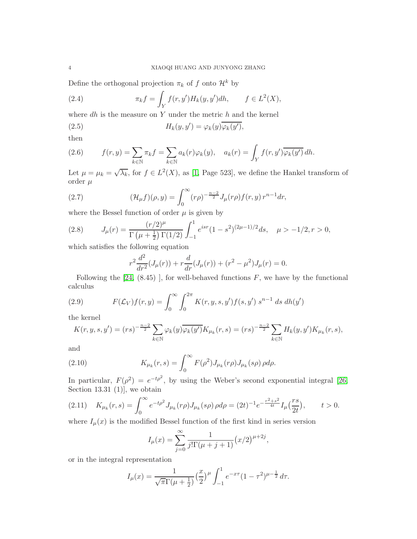<span id="page-3-0"></span>Define the orthogonal projection  $\pi_k$  of f onto  $\mathcal{H}^k$  by

(2.4) 
$$
\pi_k f = \int_Y f(r, y') H_k(y, y') dh, \qquad f \in L^2(X),
$$

where  $dh$  is the measure on Y under the metric  $h$  and the kernel

(2.5) 
$$
H_k(y, y') = \varphi_k(y)\overline{\varphi_k(y')},
$$

then

(2.6) 
$$
f(r,y) = \sum_{k \in \mathbb{N}} \pi_k f = \sum_{k \in \mathbb{N}} a_k(r) \varphi_k(y), \quad a_k(r) = \int_Y f(r,y') \overline{\varphi_k(y')} \, dh.
$$

Let  $\mu = \mu_k = \sqrt{\lambda_k}$ , for  $f \in L^2(X)$ , as [\[1,](#page-15-14) Page 523], we define the Hankel transform of order  $\mu$ 

(2.7) 
$$
(\mathcal{H}_{\mu}f)(\rho,y) = \int_0^{\infty} (r\rho)^{-\frac{n-2}{2}} J_{\mu}(r\rho) f(r,y) r^{n-1} dr,
$$

where the Bessel function of order  $\mu$  is given by

(2.8) 
$$
J_{\mu}(r) = \frac{(r/2)^{\mu}}{\Gamma(\mu + \frac{1}{2})\Gamma(1/2)} \int_{-1}^{1} e^{isr} (1 - s^{2})^{(2\mu - 1)/2} ds, \quad \mu > -1/2, r > 0,
$$

which satisfies the following equation

$$
r^{2} \frac{d^{2}}{dr^{2}} (J_{\mu}(r)) + r \frac{d}{dr} (J_{\mu}(r)) + (r^{2} - \mu^{2}) J_{\mu}(r) = 0.
$$

Following the  $[24, (8.45)$ ], for well-behaved functions  $F$ , we have by the functional calculus

(2.9) 
$$
F(\mathcal{L}_V)f(r,y) = \int_0^\infty \int_0^{2\pi} K(r,y,s,y')f(s,y') s^{n-1} ds dh(y')
$$

the kernel

$$
K(r, y, s, y') = (rs)^{-\frac{n-2}{2}} \sum_{k \in \mathbb{N}} \varphi_k(y) \overline{\varphi_k(y')} K_{\mu_k}(r, s) = (rs)^{-\frac{n-2}{2}} \sum_{k \in \mathbb{N}} H_k(y, y') K_{\mu_k}(r, s),
$$

and

(2.10) 
$$
K_{\mu_k}(r,s) = \int_0^\infty F(\rho^2) J_{\mu_k}(r\rho) J_{\mu_k}(s\rho) \rho d\rho.
$$

In particular,  $F(\rho^2) = e^{-t\rho^2}$ , by using the Weber's second exponential integral [\[26,](#page-16-6) Section 13.31  $(1)$ , we obtain

$$
(2.11) \quad K_{\mu_k}(r,s) = \int_0^\infty e^{-t\rho^2} J_{\mu_k}(r\rho) J_{\mu_k}(s\rho) \, \rho d\rho = (2t)^{-1} e^{-\frac{r^2+s^2}{4t}} I_\mu\left(\frac{rs}{2t}\right), \qquad t > 0.
$$

where  $I_{\mu}(x)$  is the modified Bessel function of the first kind in series version

$$
I_{\mu}(x) = \sum_{j=0}^{\infty} \frac{1}{j! \Gamma(\mu + j + 1)} (x/2)^{\mu + 2j},
$$

or in the integral representation

$$
I_{\mu}(x) = \frac{1}{\sqrt{\pi}\Gamma(\mu + \frac{1}{2})} \left(\frac{x}{2}\right)^{\mu} \int_{-1}^{1} e^{-x\tau} (1 - \tau^2)^{\mu - \frac{1}{2}} d\tau.
$$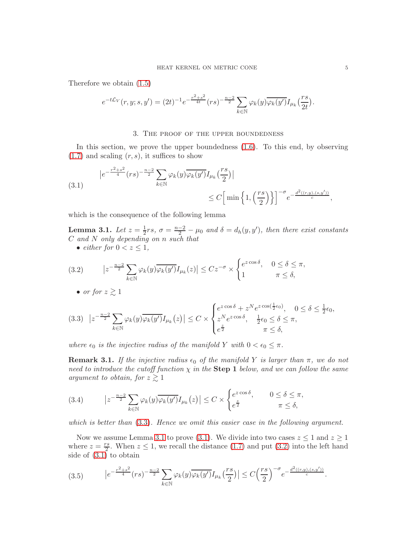Therefore we obtain [\(1.5\)](#page-1-1)

$$
e^{-t\mathcal{L}_V}(r, y; s, y') = (2t)^{-1} e^{-\frac{r^2 + s^2}{4t}}(rs)^{-\frac{n-2}{2}} \sum_{k \in \mathbb{N}} \varphi_k(y) \overline{\varphi_k(y')} I_{\mu_k}(\frac{rs}{2t}).
$$

### 3. The proof of the upper boundedness

In this section, we prove the upper boundedness [\(1.6\)](#page-1-0). To this end, by observing  $(1.7)$  and scaling  $(r, s)$ , it suffices to show

<span id="page-4-2"></span>
$$
\begin{aligned} \left| e^{-\frac{r^2+s^2}{4}}(rs)^{-\frac{n-2}{2}} \sum_{k\in\mathbb{N}} \varphi_k(y) \overline{\varphi_k(y')} I_{\mu_k}\left(\frac{rs}{2}\right) \right| \\ &\leq C \Big[ \min \Big\{ 1, \Big(\frac{rs}{2}\Big) \Big\} \Big]^{-\sigma} e^{-\frac{d^2((r,y),(s,y'))}{c}}, \end{aligned}
$$

which is the consequence of the following lemma

<span id="page-4-1"></span>**Lemma 3.1.** Let  $z = \frac{1}{2}rs$ ,  $\sigma = \frac{n-2}{2} - \mu_0$  and  $\delta = d_h(y, y')$ , then there exist constants C and N only depending on n such that

• either for 
$$
0 < z \leq 1
$$
,

<span id="page-4-3"></span>(3.2) 
$$
\left| z^{-\frac{n-2}{2}} \sum_{k \in \mathbb{N}} \varphi_k(y) \overline{\varphi_k(y')} I_{\mu_k}(z) \right| \leq C z^{-\sigma} \times \begin{cases} e^{z \cos \delta}, & 0 \leq \delta \leq \pi, \\ 1 & \pi \leq \delta, \end{cases}
$$

• or for 
$$
z \gtrsim 1
$$

<span id="page-4-0"></span>
$$
(3.3) \quad \left| z^{-\frac{n-2}{2}} \sum_{k \in \mathbb{N}} \varphi_k(y) \overline{\varphi_k(y')} I_{\mu_k}(z) \right| \leq C \times \begin{cases} e^{z \cos \delta} + z^N e^{z \cos(\frac{1}{2} \epsilon_0)}, & 0 \leq \delta \leq \frac{1}{2} \epsilon_0, \\ z^N e^{z \cos \delta}, & \frac{1}{2} \epsilon_0 \leq \delta \leq \pi, \\ e^{\frac{z}{2}}, & \pi \leq \delta, \end{cases}
$$

where  $\epsilon_0$  is the injective radius of the manifold Y with  $0 < \epsilon_0 \leq \pi$ .

**Remark 3.1.** If the injective radius  $\epsilon_0$  of the manifold Y is larger than  $\pi$ , we do not need to introduce the cutoff function  $\chi$  in the **Step 1** below, and we can follow the same argument to obtain, for  $z \gtrsim 1$ 

(3.4) 
$$
\left| z^{-\frac{n-2}{2}} \sum_{k \in \mathbb{N}} \varphi_k(y) \overline{\varphi_k(y')} I_{\mu_k}(z) \right| \leq C \times \begin{cases} e^{z \cos \delta}, & 0 \leq \delta \leq \pi, \\ e^{\frac{z}{2}} & \pi \leq \delta, \end{cases}
$$

which is better than  $(3.3)$ . Hence we omit this easier case in the following argument.

Now we assume Lemma [3.1](#page-4-1) to prove [\(3.1\)](#page-4-2). We divide into two cases  $z \leq 1$  and  $z \geq 1$ where  $z = \frac{rs}{2}$  $\frac{2^s}{2}$ . When  $z \leq 1$ , we recall the distance [\(1.7\)](#page-1-2) and put [\(3.2\)](#page-4-3) into the left hand side of [\(3.1\)](#page-4-2) to obtain

$$
(3.5) \qquad \left| e^{-\frac{r^2+s^2}{4}}(rs)^{-\frac{n-2}{2}} \sum_{k \in \mathbb{N}} \varphi_k(y) \overline{\varphi_k(y')} I_{\mu_k}\left(\frac{rs}{2}\right) \right| \le C \left(\frac{rs}{2}\right)^{-\sigma} e^{-\frac{d^2((r,y),(s,y'))}{c}}.
$$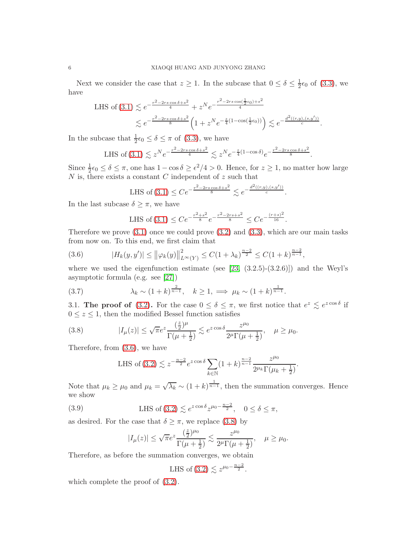<span id="page-5-2"></span>Next we consider the case that  $z \geq 1$ . In the subcase that  $0 \leq \delta \leq \frac{1}{2}$  $\frac{1}{2}\epsilon_0$  of  $(3.3)$ , we have

LHS of (3.1) 
$$
\lesssim e^{-\frac{r^2 - 2rs\cos\delta + s^2}{4}} + z^N e^{-\frac{r^2 - 2rs\cos\left(\frac{1}{2}\epsilon_0\right) + s^2}{4}}
$$
  
 $\lesssim e^{-\frac{r^2 - 2rs\cos\delta + s^2}{8}} \left(1 + z^N e^{-\frac{z}{4}\left(1 - \cos\left(\frac{1}{2}\epsilon_0\right)\right)}\right) \lesssim e^{-\frac{d^2((r,y),(s,y'))}{c}}.$ 

In the subcase that  $\frac{1}{2}\epsilon_0 \leq \delta \leq \pi$  of [\(3.3\)](#page-4-0), we have

LHS of (3.1) 
$$
\lesssim z^N e^{-\frac{r^2 - 2rs\cos\delta + s^2}{4}} \lesssim z^N e^{-\frac{z}{4}(1 - \cos\delta)} e^{-\frac{r^2 - 2rs\cos\delta + s^2}{8}}.
$$

Since  $\frac{1}{2}\epsilon_0 \leq \delta \leq \pi$ , one has  $1 - \cos \delta \geq \epsilon^2/4 > 0$ . Hence, for  $z \geq 1$ , no matter how large N is, there exists a constant C independent of  $z$  such that

LHS of (3.1) 
$$
\leq Ce^{-\frac{r^2-2rs\cos\delta+s^2}{8}} \lesssim e^{-\frac{d^2((r,y),(s,y'))}{c}}.
$$

In the last subcase  $\delta \geq \pi$ , we have

LHS of (3.1) 
$$
\leq Ce^{-\frac{r^2+s^2}{8}}e^{-\frac{r^2-2rs+s^2}{8}} \leq Ce^{-\frac{(r+s)^2}{16}}
$$
.

Therefore we prove  $(3.1)$  once we could prove  $(3.2)$  and  $(3.3)$ , which are our main tasks from now on. To this end, we first claim that

<span id="page-5-0"></span>(3.6) 
$$
|H_k(y, y')| \le ||\varphi_k(y)||_{L^{\infty}(Y)}^2 \le C(1 + \lambda_k)^{\frac{n-2}{2}} \le C(1 + k)^{\frac{n-2}{n-1}},
$$

where we used the eigenfunction estimate (see  $[23, (3.2.5)-(3.2.6)]$ ) and the Weyl's asymptotic formula (e.g. see [\[27\]](#page-16-8))

(3.7) 
$$
\lambda_k \sim (1+k)^{\frac{2}{n-1}}, \quad k \ge 1, \implies \mu_k \sim (1+k)^{\frac{1}{n-1}}.
$$

3.1. The proof of [\(3.2\)](#page-4-3). For the case  $0 \le \delta \le \pi$ , we first notice that  $e^z \lesssim e^{z \cos \delta}$  if  $0 \leq z \leq 1$ , then the modified Bessel function satisfies

(3.8) 
$$
|I_{\mu}(z)| \leq \sqrt{\pi}e^{z} \frac{(\frac{z}{2})^{\mu}}{\Gamma(\mu + \frac{1}{2})} \lesssim e^{z \cos \delta} \frac{z^{\mu_0}}{2^{\mu} \Gamma(\mu + \frac{1}{2})}, \quad \mu \geq \mu_0.
$$

Therefore, from [\(3.6\)](#page-5-0), we have

<span id="page-5-1"></span>LHS of (3.2) 
$$
\lesssim z^{-\frac{n-2}{2}} e^{z \cos \delta} \sum_{k \in \mathbb{N}} (1+k)^{\frac{n-2}{n-1}} \frac{z^{\mu_0}}{2^{\mu_k} \Gamma(\mu_k + \frac{1}{2})}.
$$

Note that  $\mu_k \ge \mu_0$  and  $\mu_k = \sqrt{\lambda_k} \sim (1+k)^{\frac{1}{n-1}}$ , then the summation converges. Hence we show

(3.9) LHS of (3.2) 
$$
\lesssim e^{z \cos \delta} z^{\mu_0 - \frac{n-2}{2}}
$$
,  $0 \le \delta \le \pi$ ,

as desired. For the case that  $\delta \geq \pi$ , we replace [\(3.8\)](#page-5-1) by

$$
|I_{\mu}(z)| \leq \sqrt{\pi}e^{z} \frac{(\frac{z}{2})^{\mu_0}}{\Gamma(\mu + \frac{1}{2})} \lesssim \frac{z^{\mu_0}}{2^{\mu}\Gamma(\mu + \frac{1}{2})}, \quad \mu \geq \mu_0.
$$

Therefore, as before the summation converges, we obtain

LHS of (3.2) 
$$
\lesssim z^{\mu_0 - \frac{n-2}{2}}
$$
.

which complete the proof of [\(3.2\)](#page-4-3).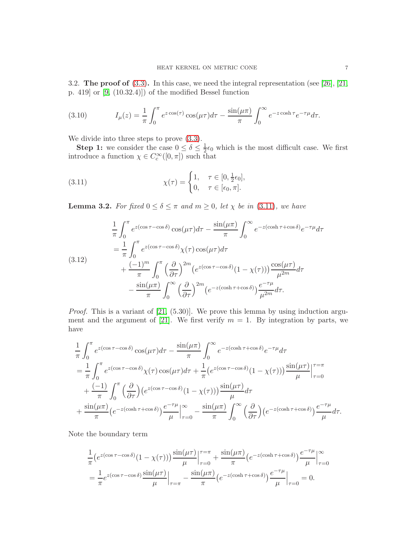<span id="page-6-3"></span>3.2. The proof of [\(3.3\)](#page-4-0). In this case, we need the integral representation (see [\[26\]](#page-16-6), [\[21,](#page-16-1) p. 419] or [\[9,](#page-15-15) (10.32.4)]) of the modified Bessel function

(3.10) 
$$
I_{\mu}(z) = \frac{1}{\pi} \int_0^{\pi} e^{z \cos(\tau)} \cos(\mu \tau) d\tau - \frac{\sin(\mu \pi)}{\pi} \int_0^{\infty} e^{-z \cosh \tau} e^{-\tau \mu} d\tau.
$$

We divide into three steps to prove [\(3.3\)](#page-4-0).

**Step 1:** we consider the case  $0 \le \delta \le \frac{1}{2}$  $\frac{1}{2}\epsilon_0$  which is the most difficult case. We first introduce a function  $\chi \in C_c^{\infty}([0, \pi])$  such that

<span id="page-6-0"></span>(3.11) 
$$
\chi(\tau) = \begin{cases} 1, & \tau \in [0, \frac{1}{2}\epsilon_0], \\ 0, & \tau \in [\epsilon_0, \pi]. \end{cases}
$$

<span id="page-6-2"></span>**Lemma 3.2.** For fixed  $0 \le \delta \le \pi$  and  $m \ge 0$ , let  $\chi$  be in [\(3.11\)](#page-6-0), we have

<span id="page-6-1"></span>
$$
\frac{1}{\pi} \int_0^{\pi} e^{z(\cos \tau - \cos \delta)} \cos(\mu \tau) d\tau - \frac{\sin(\mu \pi)}{\pi} \int_0^{\infty} e^{-z(\cosh \tau + \cos \delta)} e^{-\tau \mu} d\tau
$$
\n
$$
= \frac{1}{\pi} \int_0^{\pi} e^{z(\cos \tau - \cos \delta)} \chi(\tau) \cos(\mu \tau) d\tau + \frac{(-1)^m}{\pi} \int_0^{\pi} \left(\frac{\partial}{\partial \tau}\right)^{2m} \left(e^{z(\cos \tau - \cos \delta)} (1 - \chi(\tau))\right) \frac{\cos(\mu \tau)}{\mu^{2m}} d\tau
$$
\n
$$
- \frac{\sin(\mu \pi)}{\pi} \int_0^{\infty} \left(\frac{\partial}{\partial \tau}\right)^{2m} \left(e^{-z(\cosh \tau + \cos \delta)}\right) \frac{e^{-\tau \mu}}{\mu^{2m}} d\tau.
$$

Proof. This is a variant of [\[21,](#page-16-1) (5.30)]. We prove this lemma by using induction argu-ment and the argument of [\[21\]](#page-16-1). We first verify  $m = 1$ . By integration by parts, we have

$$
\frac{1}{\pi} \int_0^{\pi} e^{z(\cos \tau - \cos \delta)} \cos(\mu \tau) d\tau - \frac{\sin(\mu \pi)}{\pi} \int_0^{\infty} e^{-z(\cosh \tau + \cos \delta)} e^{-\tau \mu} d\tau \n= \frac{1}{\pi} \int_0^{\pi} e^{z(\cos \tau - \cos \delta)} \chi(\tau) \cos(\mu \tau) d\tau + \frac{1}{\pi} \left( e^{z(\cos \tau - \cos \delta)} (1 - \chi(\tau)) \right) \frac{\sin(\mu \tau)}{\mu} \Big|_{\tau=0}^{\tau=\pi} \n+ \frac{(-1)}{\pi} \int_0^{\pi} \left( \frac{\partial}{\partial \tau} \right) \left( e^{z(\cos \tau - \cos \delta)} (1 - \chi(\tau)) \right) \frac{\sin(\mu \tau)}{\mu} d\tau \n+ \frac{\sin(\mu \pi)}{\pi} \left( e^{-z(\cosh \tau + \cos \delta)} \right) \frac{e^{-\tau \mu}}{\mu} \Big|_{\tau=0}^{\infty} - \frac{\sin(\mu \pi)}{\pi} \int_0^{\infty} \left( \frac{\partial}{\partial \tau} \right) \left( e^{-z(\cosh \tau + \cos \delta)} \right) \frac{e^{-\tau \mu}}{\mu} d\tau.
$$

Note the boundary term

$$
\frac{1}{\pi} \left( e^{z(\cos \tau - \cos \delta)} (1 - \chi(\tau)) \right) \frac{\sin(\mu \tau)}{\mu} \Big|_{\tau=0}^{\tau=\pi} + \frac{\sin(\mu \pi)}{\pi} \left( e^{-z(\cosh \tau + \cos \delta)} \right) \frac{e^{-\tau \mu}}{\mu} \Big|_{\tau=0}^{\infty}
$$
\n
$$
= \frac{1}{\pi} e^{z(\cos \tau - \cos \delta)} \frac{\sin(\mu \tau)}{\mu} \Big|_{\tau=\pi} - \frac{\sin(\mu \pi)}{\pi} \left( e^{-z(\cosh \tau + \cos \delta)} \right) \frac{e^{-\tau \mu}}{\mu} \Big|_{\tau=0} = 0.
$$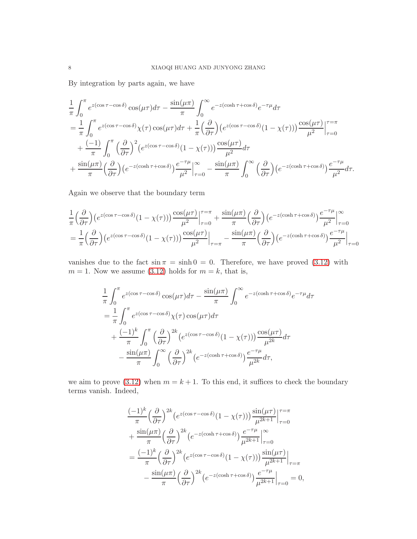By integration by parts again, we have

$$
\frac{1}{\pi} \int_0^{\pi} e^{z(\cos \tau - \cos \delta)} \cos(\mu \tau) d\tau - \frac{\sin(\mu \pi)}{\pi} \int_0^{\infty} e^{-z(\cosh \tau + \cos \delta)} e^{-\tau \mu} d\tau \n= \frac{1}{\pi} \int_0^{\pi} e^{z(\cos \tau - \cos \delta)} \chi(\tau) \cos(\mu \tau) d\tau + \frac{1}{\pi} \left(\frac{\partial}{\partial \tau}\right) \left(e^{z(\cos \tau - \cos \delta)} (1 - \chi(\tau))\right) \frac{\cos(\mu \tau)}{\mu^2} \Big|_{\tau=0}^{\tau=\pi} \n+ \frac{(-1)}{\pi} \int_0^{\pi} \left(\frac{\partial}{\partial \tau}\right)^2 \left(e^{z(\cos \tau - \cos \delta)} (1 - \chi(\tau))\right) \frac{\cos(\mu \tau)}{\mu^2} d\tau \n+ \frac{\sin(\mu \pi)}{\pi} \left(\frac{\partial}{\partial \tau}\right) \left(e^{-z(\cosh \tau + \cos \delta)}\right) \frac{e^{-\tau \mu}}{\mu^2} \Big|_{\tau=0}^{\infty} - \frac{\sin(\mu \pi)}{\pi} \int_0^{\infty} \left(\frac{\partial}{\partial \tau}\right) \left(e^{-z(\cosh \tau + \cos \delta)}\right) \frac{e^{-\tau \mu}}{\mu^2} d\tau.
$$

Again we observe that the boundary term

$$
\frac{1}{\pi} \left(\frac{\partial}{\partial \tau}\right) \left(e^{z(\cos \tau - \cos \delta)}(1 - \chi(\tau))\right) \frac{\cos(\mu \tau)}{\mu^2} \Big|_{\tau=0}^{\tau=\pi} + \frac{\sin(\mu \pi)}{\pi} \left(\frac{\partial}{\partial \tau}\right) \left(e^{-z(\cosh \tau + \cos \delta)}\right) \frac{e^{-\tau \mu}}{\mu^2} \Big|_{\tau=0}^{\infty}
$$
\n
$$
= \frac{1}{\pi} \left(\frac{\partial}{\partial \tau}\right) \left(e^{z(\cos \tau - \cos \delta)}(1 - \chi(\tau))\right) \frac{\cos(\mu \tau)}{\mu^2} \Big|_{\tau=\pi} - \frac{\sin(\mu \pi)}{\pi} \left(\frac{\partial}{\partial \tau}\right) \left(e^{-z(\cosh \tau + \cos \delta)}\right) \frac{e^{-\tau \mu}}{\mu^2} \Big|_{\tau=0}
$$

vanishes due to the fact  $\sin \pi = \sinh \theta = 0$ . Therefore, we have proved [\(3.12\)](#page-6-1) with  $m = 1$ . Now we assume [\(3.12\)](#page-6-1) holds for  $m = k$ , that is,

$$
\frac{1}{\pi} \int_0^{\pi} e^{z(\cos \tau - \cos \delta)} \cos(\mu \tau) d\tau - \frac{\sin(\mu \pi)}{\pi} \int_0^{\infty} e^{-z(\cosh \tau + \cos \delta)} e^{-\tau \mu} d\tau
$$

$$
= \frac{1}{\pi} \int_0^{\pi} e^{z(\cos \tau - \cos \delta)} \chi(\tau) \cos(\mu \tau) d\tau
$$

$$
+ \frac{(-1)^k}{\pi} \int_0^{\pi} \left(\frac{\partial}{\partial \tau}\right)^{2k} (e^{z(\cos \tau - \cos \delta)} (1 - \chi(\tau))) \frac{\cos(\mu \tau)}{\mu^{2k}} d\tau
$$

$$
- \frac{\sin(\mu \pi)}{\pi} \int_0^{\infty} \left(\frac{\partial}{\partial \tau}\right)^{2k} (e^{-z(\cosh \tau + \cos \delta)}) \frac{e^{-\tau \mu}}{\mu^{2k}} d\tau,
$$

we aim to prove [\(3.12\)](#page-6-1) when  $m = k + 1$ . To this end, it suffices to check the boundary terms vanish. Indeed,

$$
\frac{(-1)^k}{\pi} \left(\frac{\partial}{\partial \tau}\right)^{2k} \left(e^{z(\cos \tau - \cos \delta)}(1 - \chi(\tau))\right) \frac{\sin(\mu \tau)}{\mu^{2k+1}} \Big|_{\tau=0}^{\tau=\pi} \n+ \frac{\sin(\mu \pi)}{\pi} \left(\frac{\partial}{\partial \tau}\right)^{2k} \left(e^{-z(\cosh \tau + \cos \delta)}\right) \frac{e^{-\tau \mu}}{\mu^{2k+1}} \Big|_{\tau=0}^{\infty} \n= \frac{(-1)^k}{\pi} \left(\frac{\partial}{\partial \tau}\right)^{2k} \left(e^{z(\cos \tau - \cos \delta)}(1 - \chi(\tau))\right) \frac{\sin(\mu \tau)}{\mu^{2k+1}} \Big|_{\tau=\pi} \n- \frac{\sin(\mu \pi)}{\pi} \left(\frac{\partial}{\partial \tau}\right)^{2k} \left(e^{-z(\cosh \tau + \cos \delta)}\right) \frac{e^{-\tau \mu}}{\mu^{2k+1}} \Big|_{\tau=0} = 0,
$$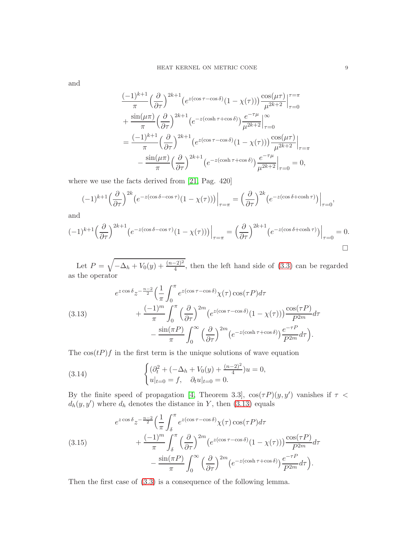<span id="page-8-1"></span>and

$$
\frac{(-1)^{k+1}}{\pi} \left(\frac{\partial}{\partial \tau}\right)^{2k+1} \left(e^{z(\cos \tau - \cos \delta)}(1 - \chi(\tau))\right) \frac{\cos(\mu\tau)}{\mu^{2k+2}} \Big|_{\tau=0}^{\tau=\pi} \n+ \frac{\sin(\mu\pi)}{\pi} \left(\frac{\partial}{\partial \tau}\right)^{2k+1} \left(e^{-z(\cosh \tau + \cos \delta)}\right) \frac{e^{-\tau\mu}}{\mu^{2k+2}} \Big|_{\tau=0}^{\infty} \n= \frac{(-1)^{k+1}}{\pi} \left(\frac{\partial}{\partial \tau}\right)^{2k+1} \left(e^{z(\cos \tau - \cos \delta)}(1 - \chi(\tau))\right) \frac{\cos(\mu\tau)}{\mu^{2k+2}} \Big|_{\tau=\pi} \n- \frac{\sin(\mu\pi)}{\pi} \left(\frac{\partial}{\partial \tau}\right)^{2k+1} \left(e^{-z(\cosh \tau + \cos \delta)}\right) \frac{e^{-\tau\mu}}{\mu^{2k+2}} \Big|_{\tau=0} = 0,
$$

where we use the facts derived from [\[21,](#page-16-1) Pag. 420]

$$
(-1)^{k+1} \left(\frac{\partial}{\partial \tau}\right)^{2k} \left(e^{-z(\cos \delta - \cos \tau)}(1 - \chi(\tau))\right)\Big|_{\tau=\pi} = \left(\frac{\partial}{\partial \tau}\right)^{2k} \left(e^{-z(\cos \delta + \cosh \tau)}\right)\Big|_{\tau=0},
$$

and

$$
(-1)^{k+1} \left(\frac{\partial}{\partial \tau}\right)^{2k+1} \left(e^{-z(\cos \delta - \cos \tau)}(1 - \chi(\tau))\right)\Big|_{\tau=\pi} = \left(\frac{\partial}{\partial \tau}\right)^{2k+1} \left(e^{-z(\cos \delta + \cosh \tau)}\right)\Big|_{\tau=0} = 0.
$$

Let  $P = \sqrt{-\Delta_h + V_0(y) + \frac{(n-2)^2}{4}}$ , then the left hand side of [\(3.3\)](#page-4-0) can be regarded as the operator

<span id="page-8-0"></span>(3.13) 
$$
e^{z \cos \delta} z^{-\frac{n-2}{2}} \left(\frac{1}{\pi} \int_0^{\pi} e^{z(\cos \tau - \cos \delta)} \chi(\tau) \cos(\tau P) d\tau + \frac{(-1)^m}{\pi} \int_0^{\pi} \left(\frac{\partial}{\partial \tau}\right)^{2m} \left(e^{z(\cos \tau - \cos \delta)} (1 - \chi(\tau))\right) \frac{\cos(\tau P)}{P^{2m}} d\tau - \frac{\sin(\pi P)}{\pi} \int_0^{\infty} \left(\frac{\partial}{\partial \tau}\right)^{2m} \left(e^{-z(\cosh \tau + \cos \delta)}\right) \frac{e^{-\tau P}}{P^{2m}} d\tau\right).
$$

The  $\cos(tP)f$  in the first term is the unique solutions of wave equation

(3.14) 
$$
\begin{cases} (\partial_t^2 + (-\Delta_h + V_0(y) + \frac{(n-2)^2}{4})u = 0, \\ u|_{t=0} = f, \quad \partial_t u|_{t=0} = 0. \end{cases}
$$

By the finite speed of propagation [\[4,](#page-15-16) Theorem 3.3],  $cos(\tau P)(y, y')$  vanishes if  $\tau$  <  $d_h(y, y')$  where  $d_h$  denotes the distance in Y, then [\(3.13\)](#page-8-0) equals

(3.15) 
$$
e^{z \cos \delta} z^{-\frac{n-2}{2}} \left(\frac{1}{\pi} \int_{\delta}^{\pi} e^{z(\cos \tau - \cos \delta)} \chi(\tau) \cos(\tau P) d\tau + \frac{(-1)^m}{\pi} \int_{\delta}^{\pi} \left(\frac{\partial}{\partial \tau}\right)^{2m} \left(e^{z(\cos \tau - \cos \delta)} (1 - \chi(\tau))\right) \frac{\cos(\tau P)}{P^{2m}} d\tau - \frac{\sin(\pi P)}{\pi} \int_{0}^{\infty} \left(\frac{\partial}{\partial \tau}\right)^{2m} \left(e^{-z(\cosh \tau + \cos \delta)}\right) \frac{e^{-\tau P}}{P^{2m}} d\tau\right).
$$

Then the first case of [\(3.3\)](#page-4-0) is a consequence of the following lemma.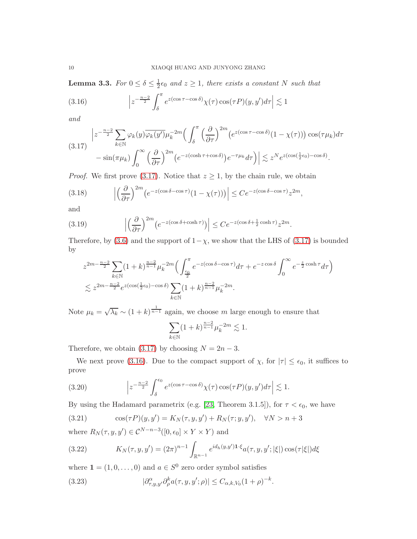<span id="page-9-5"></span>**Lemma 3.3.** For  $0 \le \delta \le \frac{1}{2}$  $\frac{1}{2} \epsilon_0$  and  $z \geq 1$ , there exists a constant N such that

<span id="page-9-1"></span>(3.16) 
$$
\left| z^{-\frac{n-2}{2}} \int_{\delta}^{\pi} e^{z(\cos \tau - \cos \delta)} \chi(\tau) \cos(\tau P)(y, y') d\tau \right| \lesssim 1
$$

and

<span id="page-9-0"></span>
$$
(3.17) \begin{aligned} \left| z^{-\frac{n-2}{2}} \sum_{k \in \mathbb{N}} \varphi_k(y) \overline{\varphi_k(y')} \mu_k^{-2m} \Big( \int_{\delta}^{\pi} \Big( \frac{\partial}{\partial \tau} \Big)^{2m} \big( e^{z(\cos \tau - \cos \delta)} (1 - \chi(\tau)) \big) \cos(\tau \mu_k) d\tau \right. \\ \left. - \sin(\pi \mu_k) \int_0^{\infty} \Big( \frac{\partial}{\partial \tau} \Big)^{2m} \big( e^{-z(\cosh \tau + \cos \delta)} \big) e^{-\tau \mu_k} d\tau \Big) \right| \lesssim z^N e^{z(\cos(\frac{1}{2}\epsilon_0) - \cos \delta)} . \end{aligned}
$$

*Proof.* We first prove [\(3.17\)](#page-9-0). Notice that  $z \geq 1$ , by the chain rule, we obtain

(3.18) 
$$
\left| \left( \frac{\partial}{\partial \tau} \right)^{2m} \left( e^{-z(\cos \delta - \cos \tau)} (1 - \chi(\tau)) \right) \right| \leq C e^{-z(\cos \delta - \cos \tau)} z^{2m},
$$

and

(3.19) 
$$
\left| \left( \frac{\partial}{\partial \tau} \right)^{2m} \left( e^{-z(\cos \delta + \cosh \tau)} \right) \right| \leq C e^{-z(\cos \delta + \frac{1}{2} \cosh \tau)} z^{2m}.
$$

Therefore, by [\(3.6\)](#page-5-0) and the support of  $1-\chi$ , we show that the LHS of [\(3.17\)](#page-9-0) is bounded by

$$
z^{2m-\frac{n-2}{2}}\sum_{k\in\mathbb{N}}(1+k)^{\frac{n-2}{n-1}}\mu_k^{-2m}\Big(\int_{\frac{\epsilon_0}{2}}^{\pi}e^{-z(\cos\delta-\cos\tau)}d\tau + e^{-z\cos\delta}\int_0^{\infty}e^{-\frac{z}{2}\cosh\tau}d\tau\Big)
$$
  

$$
\lesssim z^{2m-\frac{n-2}{2}}e^{z(\cos(\frac{1}{2}\epsilon_0)-\cos\delta)}\sum_{k\in\mathbb{N}}(1+k)^{\frac{n-2}{n-1}}\mu_k^{-2m}.
$$

Note  $\mu_k = \sqrt{\lambda_k} \sim (1 + k)^{\frac{1}{n-1}}$  again, we choose m large enough to ensure that

$$
\sum_{k \in \mathbb{N}} (1+k)^{\frac{n-2}{n-1}} \mu_k^{-2m} \lesssim 1.
$$

Therefore, we obtain [\(3.17\)](#page-9-0) by choosing  $N = 2n - 3$ .

We next prove [\(3.16\)](#page-9-1). Due to the compact support of  $\chi$ , for  $|\tau| \leq \epsilon_0$ , it suffices to prove

<span id="page-9-4"></span>(3.20) 
$$
\left| z^{-\frac{n-2}{2}} \int_{\delta}^{\epsilon_0} e^{z(\cos \tau - \cos \delta)} \chi(\tau) \cos(\tau P)(y, y') d\tau \right| \lesssim 1.
$$

By using the Hadamard parametrix (e.g. [\[23,](#page-16-7) Theorem 3.1.5]), for  $\tau < \epsilon_0$ , we have

<span id="page-9-2"></span>(3.21) 
$$
\cos(\tau P)(y, y') = K_N(\tau, y, y') + R_N(\tau, y, y'), \quad \forall N > n + 3
$$

where  $R_N(\tau, y, y') \in C^{N-n-3}([0, \epsilon_0] \times Y \times Y)$  and

(3.22) 
$$
K_N(\tau, y, y') = (2\pi)^{n-1} \int_{\mathbb{R}^{n-1}} e^{id_h(y, y') \cdot x} a(\tau, y, y'; |\xi|) \cos(\tau |\xi|) d\xi
$$

where  $\mathbf{1} = (1, 0, \dots, 0)$  and  $a \in S^0$  zero order symbol satisfies

<span id="page-9-3"></span>(3.23) 
$$
|\partial_{\tau,y,y'}^{\alpha}\partial_{\rho}^k a(\tau,y,y';\rho)| \leq C_{\alpha,k,V_0}(1+\rho)^{-k}.
$$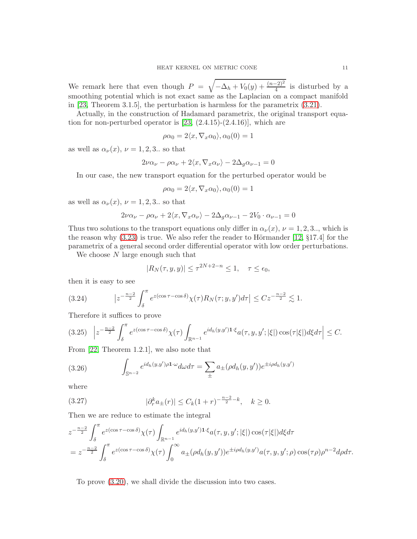<span id="page-10-0"></span>We remark here that even though  $P = \sqrt{-\Delta_h + V_0(y) + \frac{(n-2)^2}{4}}$  is disturbed by a smoothing potential which is not exact same as the Laplacian on a compact manifold in [\[23,](#page-16-7) Theorem 3.1.5], the perturbation is harmless for the parametrix [\(3.21\)](#page-9-2).

Actually, in the construction of Hadamard parametrix, the original transport equation for non-perturbed operator is  $[23, (2.4.15)-(2.4.16)]$ , which are

$$
\rho \alpha_0 = 2 \langle x, \nabla_x \alpha_0 \rangle, \alpha_0(0) = 1
$$

as well as  $\alpha_{\nu}(x)$ ,  $\nu = 1, 2, 3$ . so that

$$
2\nu\alpha_{\nu} - \rho\alpha_{\nu} + 2\langle x, \nabla_x \alpha_{\nu} \rangle - 2\Delta_g \alpha_{\nu-1} = 0
$$

In our case, the new transport equation for the perturbed operator would be

$$
\rho \alpha_0 = 2 \langle x, \nabla_x \alpha_0 \rangle, \alpha_0(0) = 1
$$

as well as  $\alpha_{\nu}(x)$ ,  $\nu = 1, 2, 3$ . so that

$$
2\nu\alpha_{\nu} - \rho\alpha_{\nu} + 2\langle x, \nabla_x \alpha_{\nu} \rangle - 2\Delta_g \alpha_{\nu-1} - 2V_0 \cdot \alpha_{\nu-1} = 0
$$

Thus two solutions to the transport equations only differ in  $\alpha_{\nu}(x)$ ,  $\nu = 1, 2, 3...$ , which is the reason why  $(3.23)$  is true. We also refer the reader to Hörmander [\[12,](#page-15-17) §17.4] for the parametrix of a general second order differential operator with low order perturbations.

We choose N large enough such that

$$
|R_N(\tau, y, y)| \le \tau^{2N+2-n} \le 1, \quad \tau \le \epsilon_0,
$$

then it is easy to see

(3.24) 
$$
\left|z^{-\frac{n-2}{2}} \int_{\delta}^{\pi} e^{z(\cos \tau - \cos \delta)} \chi(\tau) R_N(\tau; y, y') d\tau\right| \leq C z^{-\frac{n-2}{2}} \lesssim 1.
$$

Therefore it suffices to prove

$$
(3.25)\quad \Big| z^{-\frac{n-2}{2}} \int_{\delta}^{\pi} e^{z(\cos \tau - \cos \delta)} \chi(\tau) \int_{\mathbb{R}^{n-1}} e^{id_h(y,y')\mathbf{1} \cdot \xi} a(\tau, y, y'; |\xi|) \cos(\tau |\xi|) d\xi d\tau \Big| \leq C.
$$

From [\[22,](#page-16-9) Theorem 1.2.1], we also note that

(3.26) 
$$
\int_{\mathbb{S}^{n-2}} e^{id_h(y,y')\rho \mathbf{1} \cdot \omega} d\omega d\tau = \sum_{\pm} a_{\pm} (\rho d_h(y,y')) e^{\pm i \rho d_h(y,y')}
$$

where

(3.27) 
$$
|\partial_r^k a_{\pm}(r)| \leq C_k (1+r)^{-\frac{n-2}{2}-k}, \quad k \geq 0.
$$

Then we are reduce to estimate the integral

$$
z^{-\frac{n-2}{2}} \int_{\delta}^{\pi} e^{z(\cos \tau - \cos \delta)} \chi(\tau) \int_{\mathbb{R}^{n-1}} e^{id_h(y,y')\mathbf{1} \cdot \xi} a(\tau, y, y'; |\xi|) \cos(\tau |\xi|) d\xi d\tau
$$
  
= 
$$
z^{-\frac{n-2}{2}} \int_{\delta}^{\pi} e^{z(\cos \tau - \cos \delta)} \chi(\tau) \int_{0}^{\infty} a_{\pm}(\rho d_h(y, y')) e^{\pm i\rho d_h(y, y')} a(\tau, y, y'; \rho) \cos(\tau \rho) \rho^{n-2} d\rho d\tau.
$$

To prove [\(3.20\)](#page-9-4), we shall divide the discussion into two cases.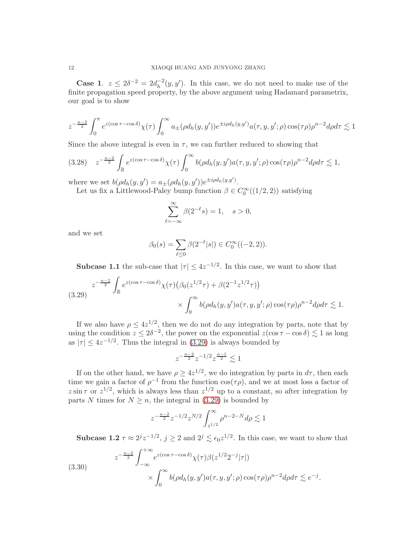**Case 1.**  $z \leq 2\delta^{-2} = 2d_h^{-2}$  $h^{-2}(y, y')$ . In this case, we do not need to make use of the finite propagation speed property, by the above argument using Hadamard parametrix, our goal is to show

$$
z^{-\frac{n-2}{2}} \int_0^{\pi} e^{z(\cos \tau - \cos \delta)} \chi(\tau) \int_0^{\infty} a_{\pm}(\rho d_h(y, y')) e^{\pm i\rho d_h(y, y')} a(\tau, y, y'; \rho) \cos(\tau \rho) \rho^{n-2} d\rho d\tau \lesssim 1
$$

Since the above integral is even in  $\tau$ , we can further reduced to showing that

$$
(3.28) \quad z^{-\frac{n-2}{2}} \int_{\mathbb{R}} e^{z(\cos \tau - \cos \delta)} \chi(\tau) \int_0^\infty b(\rho d_h(y, y') a(\tau, y, y'; \rho) \cos(\tau \rho) \rho^{n-2} d\rho d\tau \lesssim 1,
$$

where we set  $b(\rho d_h(y, y') = a_{\pm}(\rho d_h(y, y'))e^{\pm i\rho d_h(y, y')}.$ 

Let us fix a Littlewood-Paley bump function  $\beta \in C_0^{\infty}((1/2, 2))$  satisfying

$$
\sum_{\ell=-\infty}^{\infty} \beta(2^{-\ell}s) = 1, \quad s > 0,
$$

and we set

$$
\beta_0(s) = \sum_{\ell \le 0} \beta(2^{-\ell}|s|) \in C_0^{\infty}((-2, 2)).
$$

**Subcase 1.1** the sub-case that  $|\tau| \leq 4z^{-1/2}$ . In this case, we want to show that

<span id="page-11-0"></span>
$$
(3.29) \begin{aligned} z^{-\frac{n-2}{2}}\int_{\mathbb{R}} e^{z(\cos\tau-\cos\delta)}\chi(\tau)\big(\beta_0(z^{1/2}\tau)+\beta(2^{-1}z^{1/2}\tau)\big) \\ &\times \int_0^\infty b(\rho d_h(y, y')a(\tau, y, y'; \rho)\cos(\tau\rho)\rho^{n-2}d\rho d\tau \lesssim 1. \end{aligned}
$$

If we also have  $\rho \leq 4z^{1/2}$ , then we do not do any integration by parts, note that by using the condition  $z \le 2\delta^{-2}$ , the power on the exponential  $z(\cos \tau - \cos \delta) \lesssim 1$  as long as  $|\tau| \leq 4z^{-1/2}$ . Thus the integral in [\(3.29\)](#page-11-0) is always bounded by

$$
z^{-\frac{n-2}{2}}z^{-1/2}z^{\frac{n-1}{2}}\lesssim 1
$$

If on the other hand, we have  $\rho \geq 4z^{1/2}$ , we do integration by parts in  $d\tau$ , then each time we gain a factor of  $\rho^{-1}$  from the function  $\cos(\tau \rho)$ , and we at most loss a factor of  $z \sin \tau$  or  $z^{1/2}$ , which is always less than  $z^{1/2}$  up to a constant, so after integration by parts N times for  $N \geq n$ , the integral in [\(3.29\)](#page-11-0) is bounded by

$$
z^{-\frac{n-2}{2}}z^{-1/2}z^{N/2}\int_{z^{1/2}}^{\infty}\rho^{n-2-N}d\rho\lesssim 1
$$

**Subcase 1.2**  $\tau \approx 2^{j} z^{-1/2}$ ,  $j \ge 2$  and  $2^{j} \lesssim \epsilon_0 z^{1/2}$ . In this case, we want to show that

<span id="page-11-1"></span>(3.30)  

$$
z^{-\frac{n-2}{2}} \int_{-\infty}^{+\infty} e^{z(\cos \tau - \cos \delta)} \chi(\tau) \beta(z^{1/2} 2^{-j} |\tau|)
$$

$$
\times \int_{0}^{\infty} b(\rho d_h(y, y') a(\tau, y, y'; \rho) \cos(\tau \rho) \rho^{n-2} d\rho d\tau \lesssim e^{-j}.
$$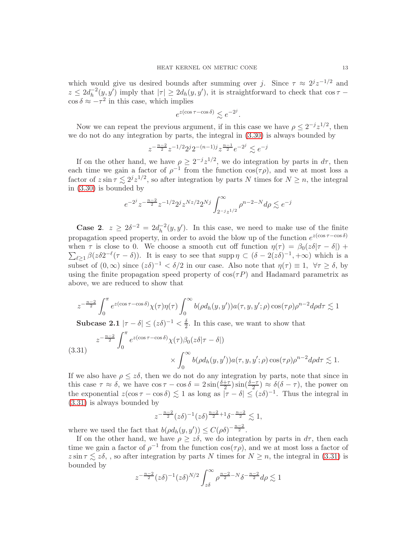which would give us desired bounds after summing over j. Since  $\tau \approx 2^{j}z^{-1/2}$  and  $z \leq 2d_h^{-2}$  $h^{-2}(y, y')$  imply that  $|\tau| \geq 2d_h(y, y')$ , it is straightforward to check that  $\cos \tau$  –  $\cos \delta \approx -\tau^2$  in this case, which implies

$$
e^{z(\cos \tau - \cos \delta)} \lesssim e^{-2^j}.
$$

Now we can repeat the previous argument, if in this case we have  $\rho \leq 2^{-j} z^{1/2}$ , then we do not do any integration by parts, the integral in [\(3.30\)](#page-11-1) is always bounded by

$$
z^{-\frac{n-2}{2}}z^{-1/2}2^j2^{-(n-1)j}z^{\frac{n-1}{2}}e^{-2^j}\lesssim e^{-j}
$$

If on the other hand, we have  $\rho \geq 2^{-j}z^{1/2}$ , we do integration by parts in  $d\tau$ , then each time we gain a factor of  $\rho^{-1}$  from the function  $\cos(\tau \rho)$ , and we at most loss a factor of  $z \sin \tau \lesssim 2^{j} z^{1/2}$ , so after integration by parts N times for  $N \geq n$ , the integral in [\(3.30\)](#page-11-1) is bounded by

$$
e^{-2^j}z^{-\frac{n-2}{2}}z^{-1/2}2^jz^{Nz/2}2^{Nj}\int_{2^{-j}z^{1/2}}^{\infty}\rho^{n-2-N}d\rho\lesssim e^{-j}
$$

**Case 2.**  $z \geq 2\delta^{-2} = 2d_h^{-2}$  $h^{-2}(y, y')$ . In this case, we need to make use of the finite propagation speed property, in order to avoid the blow up of the function  $e^{z(\cos \tau - \cos \delta)}$ when  $\tau$  is close to 0. We choose a smooth cut off function  $\eta(\tau) = \beta_0(z\delta|\tau - \delta|) +$  $\sum_{\ell \geq 1} \beta(z\delta 2^{-\ell}(\tau - \delta)).$  It is easy to see that supp  $\eta \subset (\delta - 2(z\delta)^{-1}, +\infty)$  which is a subset of  $(0, \infty)$  since  $(z\delta)^{-1} < \delta/2$  in our case. Also note that  $\eta(\tau) \equiv 1, \ \forall \tau \geq \delta$ , by using the finite propagation speed property of  $cos(\tau P)$  and Hadamard parametrix as above, we are reduced to show that

$$
z^{-\frac{n-2}{2}} \int_0^{\pi} e^{z(\cos \tau - \cos \delta)} \chi(\tau) \eta(\tau) \int_0^{\infty} b(\rho d_h(y, y')) a(\tau, y, y'; \rho) \cos(\tau \rho) \rho^{n-2} d\rho d\tau \lesssim 1
$$

Subcase 2.1  $|\tau-\delta|\leq (z\delta)^{-1} < \frac{\delta}{2}$  $\frac{0}{2}$ . In this case, we want to show that

<span id="page-12-0"></span>(3.31) 
$$
z^{-\frac{n-2}{2}} \int_0^{\pi} e^{z(\cos \tau - \cos \delta)} \chi(\tau) \beta_0(z\delta|\tau - \delta|)
$$

$$
\times \int_0^{\infty} b(\rho d_h(y, y')) a(\tau, y, y'; \rho) \cos(\tau \rho) \rho^{n-2} d\rho d\tau \lesssim 1.
$$

If we also have  $\rho \leq z\delta$ , then we do not do any integration by parts, note that since in this case  $\tau \approx \delta$ , we have  $\cos \tau - \cos \delta = 2 \sin(\frac{\delta + \tau}{2}) \sin(\frac{\delta - \tau}{2}) \approx \delta(\delta - \tau)$ , the power on the exponential  $z(\cos \tau - \cos \delta) \lesssim 1$  as long as  $|\tau - \delta| \leq (z\delta)^{-1}$ . Thus the integral in [\(3.31\)](#page-12-0) is always bounded by

$$
z^{-\frac{n-2}{2}}(z\delta)^{-1}(z\delta)^{\frac{n-2}{2}+1}\delta^{-\frac{n-2}{2}} \lesssim 1,
$$

where we used the fact that  $b(\rho d_h(y, y')) \leq C(\rho \delta)^{-\frac{n-2}{2}}$ .

If on the other hand, we have  $\rho \geq z\delta$ , we do integration by parts in  $d\tau$ , then each time we gain a factor of  $\rho^{-1}$  from the function  $\cos(\tau \rho)$ , and we at most loss a factor of  $z \sin \tau \lesssim z\delta$ , , so after integration by parts N times for  $N \ge n$ , the integral in [\(3.31\)](#page-12-0) is bounded by

$$
z^{-\frac{n-2}{2}}(z\delta)^{-1}(z\delta)^{N/2} \int_{z\delta}^{\infty} \rho^{\frac{n-2}{2}-N} \delta^{-\frac{n-2}{2}} d\rho \lesssim 1
$$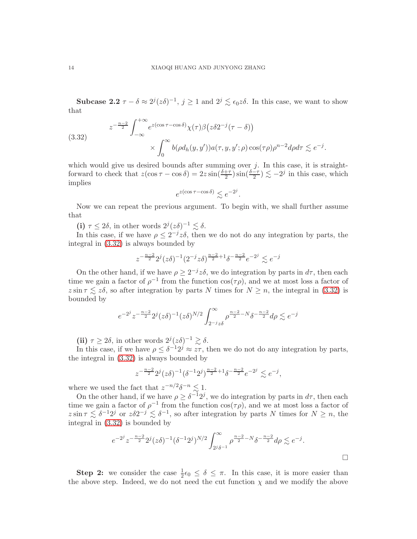Subcase 2.2  $\tau - \delta \approx 2^{j}(z\delta)^{-1}$ ,  $j \ge 1$  and  $2^{j} \le \epsilon_0 z \delta$ . In this case, we want to show that

<span id="page-13-0"></span>(3.32)  

$$
z^{-\frac{n-2}{2}} \int_{-\infty}^{+\infty} e^{z(\cos \tau - \cos \delta)} \chi(\tau) \beta(z \delta 2^{-j} (\tau - \delta))
$$

$$
\times \int_{0}^{\infty} b(\rho d_h(y, y')) a(\tau, y, y'; \rho) \cos(\tau \rho) \rho^{n-2} d\rho d\tau \lesssim e^{-j}.
$$

which would give us desired bounds after summing over  $j$ . In this case, it is straightforward to check that  $z(\cos \tau - \cos \delta) = 2z \sin(\frac{\delta + \tau}{2}) \sin(\frac{\delta - \tau}{2}) \lesssim -2^j$  in this case, which implies

$$
e^{z(\cos\tau-\cos\delta)}\lesssim e^{-2^j}
$$

.

Now we can repeat the previous argument. To begin with, we shall further assume that

(i)  $\tau \leq 2\delta$ , in other words  $2^j(z\delta)^{-1} \lesssim \delta$ .

In this case, if we have  $\rho \leq 2^{-j}z\delta$ , then we do not do any integration by parts, the integral in [\(3.32\)](#page-13-0) is always bounded by

$$
z^{-\frac{n-2}{2}}2^j(z\delta)^{-1}(2^{-j}z\delta)^{\frac{n-2}{2}+1}\delta^{-\frac{n-2}{2}}e^{-2^j}\lesssim e^{-j}
$$

On the other hand, if we have  $\rho \geq 2^{-j}z\delta$ , we do integration by parts in  $d\tau$ , then each time we gain a factor of  $\rho^{-1}$  from the function  $\cos(\tau \rho)$ , and we at most loss a factor of  $z \sin \tau \lesssim z\delta$ , so after integration by parts N times for  $N \geq n$ , the integral in [\(3.32\)](#page-13-0) is bounded by

$$
e^{-2^{j}}z^{-\frac{n-2}{2}}2^{j}(z\delta)^{-1}(z\delta)^{N/2}\int_{2^{-j}z\delta}^{\infty}\rho^{\frac{n-2}{2}-N}\delta^{-\frac{n-2}{2}}d\rho \lesssim e^{-j}
$$

(ii)  $\tau \geq 2\delta$ , in other words  $2^{j}(z\delta)^{-1} \gtrsim \delta$ .

In this case, if we have  $\rho \leq \delta^{-1}2^j \approx z\tau$ , then we do not do any integration by parts, the integral in [\(3.32\)](#page-13-0) is always bounded by

$$
z^{-\frac{n-2}{2}} 2^{j} (z\delta)^{-1} (\delta^{-1} 2^j)^{\frac{n-2}{2}+1} \delta^{-\frac{n-2}{2}} e^{-2^j} \lesssim e^{-j},
$$

where we used the fact that  $z^{-n/2}\delta^{-n} \lesssim 1$ .

On the other hand, if we have  $\rho \geq \delta^{-1}2^j$ , we do integration by parts in  $d\tau$ , then each time we gain a factor of  $\rho^{-1}$  from the function  $\cos(\tau \rho)$ , and we at most loss a factor of  $z \sin \tau \lesssim \delta^{-1} 2^{j}$  or  $z \delta 2^{-j} \lesssim \delta^{-1}$ , so after integration by parts N times for  $N \geq n$ , the integral in [\(3.32\)](#page-13-0) is bounded by

$$
e^{-2^{j}} z^{-\frac{n-2}{2}} 2^{j} (z\delta)^{-1} (\delta^{-1} 2^{j})^{N/2} \int_{2^{j}\delta^{-1}}^{\infty} \rho^{\frac{n-2}{2} - N} \delta^{-\frac{n-2}{2}} d\rho \lesssim e^{-j}.
$$

**Step 2:** we consider the case  $\frac{1}{2}\epsilon_0 \leq \delta \leq \pi$ . In this case, it is more easier than the above step. Indeed, we do not need the cut function  $\chi$  and we modify the above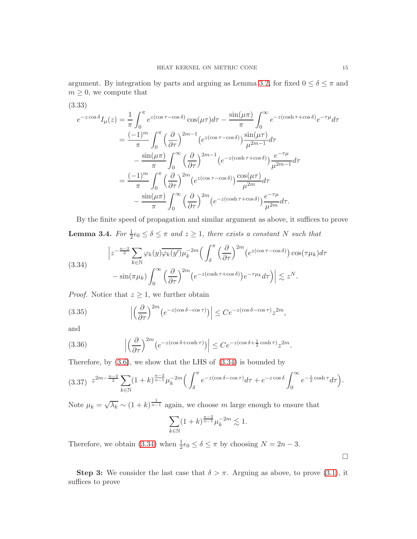argument. By integration by parts and arguing as Lemma [3.2,](#page-6-2) for fixed  $0 \le \delta \le \pi$  and  $m \geq 0$ , we compute that

$$
(3.33)
$$

$$
e^{-z\cos\delta}I_{\mu}(z) = \frac{1}{\pi} \int_0^{\pi} e^{z(\cos\tau - \cos\delta)} \cos(\mu\tau) d\tau - \frac{\sin(\mu\pi)}{\pi} \int_0^{\infty} e^{-z(\cosh\tau + \cos\delta)} e^{-\tau\mu} d\tau
$$
  

$$
= \frac{(-1)^m}{\pi} \int_0^{\pi} \left(\frac{\partial}{\partial\tau}\right)^{2m-1} \left(e^{z(\cos\tau - \cos\delta)}\right) \frac{\sin(\mu\tau)}{\mu^{2m-1}} d\tau
$$
  

$$
- \frac{\sin(\mu\pi)}{\pi} \int_0^{\infty} \left(\frac{\partial}{\partial\tau}\right)^{2m-1} \left(e^{-z(\cosh\tau + \cos\delta)}\right) \frac{e^{-\tau\mu}}{\mu^{2m-1}} d\tau
$$
  

$$
= \frac{(-1)^m}{\pi} \int_0^{\pi} \left(\frac{\partial}{\partial\tau}\right)^{2m} \left(e^{z(\cos\tau - \cos\delta)}\right) \frac{\cos(\mu\tau)}{\mu^{2m}} d\tau
$$
  

$$
- \frac{\sin(\mu\pi)}{\pi} \int_0^{\infty} \left(\frac{\partial}{\partial\tau}\right)^{2m} \left(e^{-z(\cosh\tau + \cos\delta)}\right) \frac{e^{-\tau\mu}}{\mu^{2m}} d\tau.
$$

By the finite speed of propagation and similar argument as above, it suffices to prove **Lemma 3.4.** For  $\frac{1}{2} \epsilon_0 \leq \delta \leq \pi$  and  $z \geq 1$ , there exists a constant N such that

<span id="page-14-0"></span>(3.34)  

$$
\left| z^{-\frac{n-2}{2}} \sum_{k \in \mathbb{N}} \varphi_k(y) \overline{\varphi_k(y')} \mu_k^{-2m} \left( \int_{\delta}^{\pi} \left( \frac{\partial}{\partial \tau} \right)^{2m} \left( e^{z(\cos \tau - \cos \delta)} \right) \cos(\tau \mu_k) d\tau \right. \\ \left. - \sin(\pi \mu_k) \int_0^{\infty} \left( \frac{\partial}{\partial \tau} \right)^{2m} \left( e^{-z(\cosh \tau + \cos \delta)} \right) e^{-\tau \mu_k} d\tau \right) \right| \lesssim z^N.
$$

*Proof.* Notice that  $z \geq 1$ , we further obtain

(3.35) 
$$
\left| \left( \frac{\partial}{\partial \tau} \right)^{2m} \left( e^{-z(\cos \delta - \cos \tau)} \right) \right| \leq C e^{-z(\cos \delta - \cos \tau)} z^{2m},
$$

and

(3.36) 
$$
\left| \left( \frac{\partial}{\partial \tau} \right)^{2m} \left( e^{-z(\cos \delta + \cosh \tau)} \right) \right| \leq C e^{-z(\cos \delta + \frac{1}{2} \cosh \tau)} z^{2m}.
$$

Therefore, by  $(3.6)$ , we show that the LHS of  $(3.34)$  is bounded by

$$
(3.37) \ z^{2m - \frac{n-2}{2}} \sum_{k \in \mathbb{N}} (1+k)^{\frac{n-2}{n-1}} \mu_k^{-2m} \Big( \int_{\delta}^{\pi} e^{-z(\cos \delta - \cos \tau)} d\tau + e^{-z \cos \delta} \int_0^{\infty} e^{-\frac{z}{2} \cosh \tau} d\tau \Big).
$$

Note  $\mu_k = \sqrt{\lambda_k} \sim (1 + k)^{\frac{1}{n-1}}$  again, we choose m large enough to ensure that

$$
\sum_{k \in \mathbb{N}} (1+k)^{\frac{n-2}{n-1}} \mu_k^{-2m} \lesssim 1.
$$

Therefore, we obtain [\(3.34\)](#page-14-0) when  $\frac{1}{2} \epsilon_0 \leq \delta \leq \pi$  by choosing  $N = 2n - 3$ .

Step 3: We consider the last case that  $\delta > \pi$ . Arguing as above, to prove [\(3.1\)](#page-4-2), it suffices to prove

 $\Box$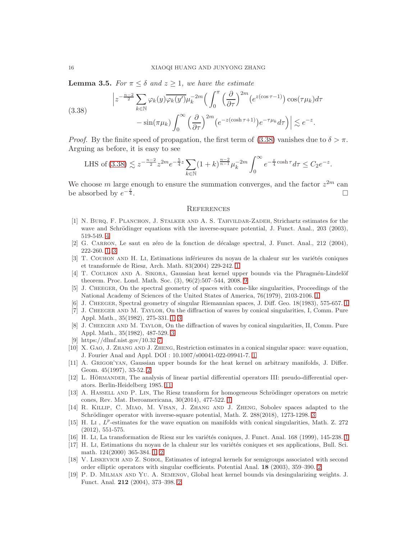**Lemma 3.5.** For  $\pi \leq \delta$  and  $z \geq 1$ , we have the estimate

<span id="page-15-18"></span>(3.38) 
$$
\left| z^{-\frac{n-2}{2}} \sum_{k \in \mathbb{N}} \varphi_k(y) \overline{\varphi_k(y')} \mu_k^{-2m} \left( \int_0^{\pi} \left( \frac{\partial}{\partial \tau} \right)^{2m} (e^{z(\cos \tau - 1)}) \cos(\tau \mu_k) d\tau \right. \\ \left. - \sin(\pi \mu_k) \int_0^{\infty} \left( \frac{\partial}{\partial \tau} \right)^{2m} (e^{-z(\cosh \tau + 1)}) e^{-\tau \mu_k} d\tau \right) \right| \lesssim e^{-z}.
$$

*Proof.* By the finite speed of propagation, the first term of  $(3.38)$  vanishes due to  $\delta > \pi$ . Arguing as before, it is easy to see

LHS of (3.38) 
$$
\lesssim z^{-\frac{n-2}{2}} z^{2m} e^{-\frac{5}{4}z} \sum_{k \in \mathbb{N}} (1+k)^{\frac{n-2}{n-1}} \mu_k^{-2m} \int_0^\infty e^{-\frac{z}{4} \cosh \tau} d\tau \le C_2 e^{-z}.
$$

We choose m large enough to ensure the summation converges, and the factor  $z^{2m}$  can be absorbed by  $e^{-\frac{z}{4}}$  $\frac{2}{4}$ .

### **REFERENCES**

- <span id="page-15-14"></span>[1] N. BURQ, F. PLANCHON, J. STALKER AND A. S. TAHVILDAR-ZADEH, Strichartz estimates for the wave and Schrödinger equations with the inverse-square potential, J. Funct. Anal., 203 (2003), 519-549. [4](#page-3-0)
- <span id="page-15-5"></span>[2] G. CARRON, Le saut en zéro de la fonction de décalage spectral, J. Funct. Anal., 212 (2004), 222-260. [1,](#page-0-1) [3](#page-2-0)
- <span id="page-15-4"></span>[3] T. COUHON AND H. LI, Estimations inférieures du noyau de la chaleur sur les variétés coniques et transform´ee de Riesz, Arch. Math. 83(2004) 229-242. [1](#page-0-1)
- <span id="page-15-16"></span>[4] T. COULHON AND A. SIKORA, Gaussian heat kernel upper bounds via the Phragmén-Lindelöf theorem. Proc. Lond. Math. Soc. (3), 96(2):507–544, 2008. [9](#page-8-1)
- <span id="page-15-0"></span>[5] J. Cheeger, On the spectral geometry of spaces with cone-like singularities, Proceedings of the National Academy of Sciences of the United States of America, 76(1979), 2103-2106. [1](#page-0-1)
- <span id="page-15-2"></span><span id="page-15-1"></span>[6] J. CHEEGER, Spectral geometry of singular Riemannian spaces, J. Diff. Geo. [1](#page-0-1)8(1983), 575-657. 1
- [7] J. Cheeger and M. Taylor, On the diffraction of waves by conical singularities, I, Comm. Pure Appl. Math., 35(1982), 275-331. [1,](#page-0-1) [3](#page-2-0)
- <span id="page-15-13"></span>[8] J. CHEEGER AND M. TAYLOR, On the diffraction of waves by conical singularities, II, Comm. Pure Appl. Math., 35(1982), 487-529. [3](#page-2-0)
- <span id="page-15-15"></span><span id="page-15-8"></span>[9] https://dlmf.nist.gov/10.32 [7](#page-6-3)
- [10] X. Gao, J. Zhang and J. Zheng, Restriction estimates in a conical singular space: wave equation, J. Fourier Anal and Appl. DOI : 10.1007/s00041-022-09941-7. [1](#page-0-1)
- <span id="page-15-11"></span>[11] A. Grigor'yan, Gaussian upper bounds for the heat kernel on arbitrary manifolds, J. Differ. Geom. 45(1997), 33-52. [2](#page-1-3)
- <span id="page-15-17"></span>[12] L. HÖRMANDER, The analysis of linear partial differential operators III: pseudo-differential operators. Berlin-Heidelberg 1985. [11](#page-10-0)
- <span id="page-15-6"></span>[13] A. HASSELL AND P. LIN, The Riesz transform for homogeneous Schrödinger operators on metric cones, Rev. Mat. Iberoamericana, 30(2014), 477-522. [1](#page-0-1)
- <span id="page-15-12"></span>[14] R. Killip, C. Miao, M. Visan, J. Zhang and J. Zheng, Sobolev spaces adapted to the Schrödinger operator with inverse-square potential, Math. Z. 288(2018), 1273-1298. [3](#page-2-0)
- [15] H. Li ,  $L^p$ -estimates for the wave equation on manifolds with conical singularities, Math. Z. 272 (2012), 551-575.
- <span id="page-15-7"></span><span id="page-15-3"></span>[16] H. Li, La transformation de Riesz sur les variétés coniques, J. Funct. Anal. [1](#page-0-1)68 (1999), 145-238. 1
- [17] H. Li, Estimations du noyau de la chaleur sur les variétés coniques et ses applications, Bull. Sci. math. 124(2000) 365-384. [1,](#page-0-1) [2](#page-1-3)
- <span id="page-15-9"></span>[18] V. Liskevich and Z. Sobol, Estimates of integral kernels for semigroups associated with second order elliptic operators with singular coefficients. Potential Anal. 18 (2003), 359–390. [2](#page-1-3)
- <span id="page-15-10"></span>[19] P. D. Milman and Yu. A. Semenov, Global heat kernel bounds via desingularizing weights. J. Funct. Anal. 212 (2004), 373–398. [2](#page-1-3)